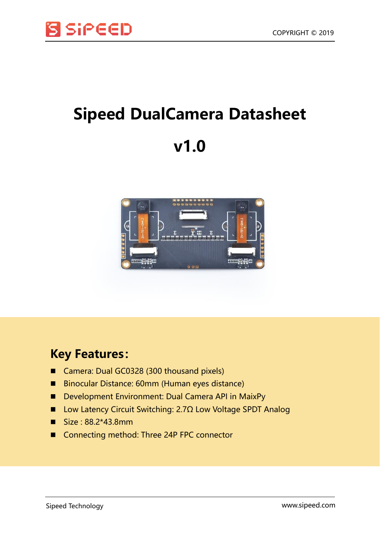

## **Sipeed DualCamera Datasheet**





## **Key Features:**

- Camera: Dual GC0328 (300 thousand pixels)
- Binocular Distance: 60mm (Human eyes distance)
- Development Environment: Dual Camera API in MaixPy
- Low Latency Circuit Switching: 2.7Ω Low Voltage SPDT Analog
- Size : 88.2\*43.8mm
- Connecting method: Three 24P FPC connector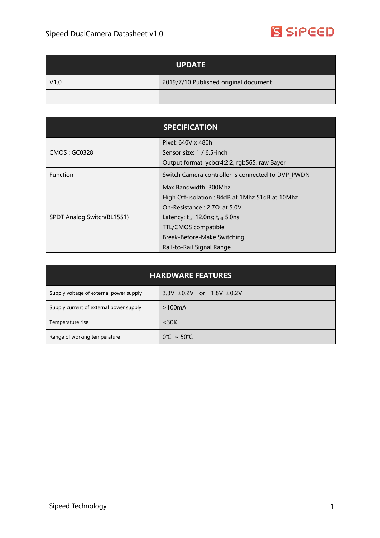

| <b>UPDATE</b> |                                       |
|---------------|---------------------------------------|
| V1.0          | 2019/7/10 Published original document |
|               |                                       |

|                            | <b>SPECIFICATION</b>                              |
|----------------------------|---------------------------------------------------|
| CMOS: GC0328               | Pixel: 640V x 480h                                |
|                            | Sensor size: 1 / 6.5-inch                         |
|                            | Output format: ycbcr4:2:2, rgb565, raw Bayer      |
| <b>Function</b>            | Switch Camera controller is connected to DVP PWDN |
| SPDT Analog Switch(BL1551) | Max Bandwidth: 300Mhz                             |
|                            | High Off-isolation: 84dB at 1Mhz 51dB at 10Mhz    |
|                            | On-Resistance: $2.7\Omega$ at 5.0V                |
|                            | Latency: $t_{on}$ 12.0ns; $t_{off}$ 5.0ns         |
|                            | TTL/CMOS compatible                               |
|                            | Break-Before-Make Switching                       |
|                            | Rail-to-Rail Signal Range                         |

| <b>HARDWARE FEATURES</b>                |                                    |  |
|-----------------------------------------|------------------------------------|--|
| Supply voltage of external power supply | $3.3V \pm 0.2V$ or 1.8V $\pm 0.2V$ |  |
| Supply current of external power supply | >100mA                             |  |
| Temperature rise                        | $<$ 30K                            |  |
| Range of working temperature            | $0^{\circ}$ C ~ 50 $^{\circ}$ C    |  |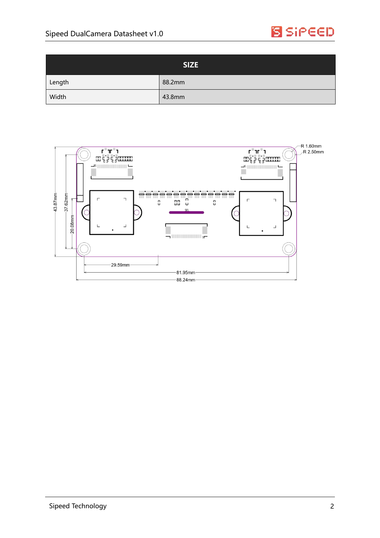

| <b>SIZE</b> |        |
|-------------|--------|
| Length      | 88.2mm |
| Width       | 43.8mm |